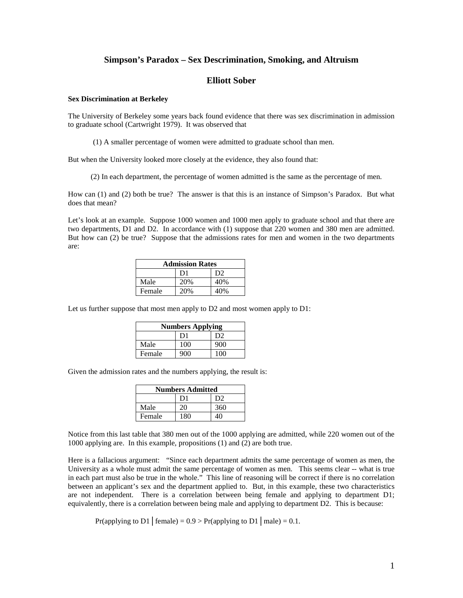# **Simpson's Paradox – Sex Descrimination, Smoking, and Altruism**

# **Elliott Sober**

### **Sex Discrimination at Berkeley**

The University of Berkeley some years back found evidence that there was sex discrimination in admission to graduate school (Cartwright 1979). It was observed that

(1) A smaller percentage of women were admitted to graduate school than men.

But when the University looked more closely at the evidence, they also found that:

(2) In each department, the percentage of women admitted is the same as the percentage of men.

How can (1) and (2) both be true? The answer is that this is an instance of Simpson's Paradox. But what does that mean?

Let's look at an example. Suppose 1000 women and 1000 men apply to graduate school and that there are two departments, D1 and D2. In accordance with (1) suppose that 220 women and 380 men are admitted. But how can (2) be true? Suppose that the admissions rates for men and women in the two departments are:

| <b>Admission Rates</b> |                |      |  |
|------------------------|----------------|------|--|
|                        | D <sub>1</sub> | D2   |  |
| Male                   | 20%            | 40%  |  |
| Female                 | 20%            | 40\% |  |

Let us further suppose that most men apply to D2 and most women apply to D1:

| <b>Numbers Applying</b> |                |     |  |
|-------------------------|----------------|-----|--|
|                         | D <sub>1</sub> | D2  |  |
| Male                    | 100            | 900 |  |
| Female                  | 900            | 100 |  |

Given the admission rates and the numbers applying, the result is:

| <b>Numbers Admitted</b> |                |     |  |
|-------------------------|----------------|-----|--|
|                         | D <sub>1</sub> | D2  |  |
| Male                    | 20             | 360 |  |
| Female                  | 180            | 40  |  |

Notice from this last table that 380 men out of the 1000 applying are admitted, while 220 women out of the 1000 applying are. In this example, propositions (1) and (2) are both true.

Here is a fallacious argument: "Since each department admits the same percentage of women as men, the University as a whole must admit the same percentage of women as men. This seems clear -- what is true in each part must also be true in the whole." This line of reasoning will be correct if there is no correlation between an applicant's sex and the department applied to. But, in this example, these two characteristics are not independent. There is a correlation between being female and applying to department D1; equivalently, there is a correlation between being male and applying to department D2. This is because:

Pr(applying to D1 | female) =  $0.9 > Pr$ (applying to D1 | male) = 0.1.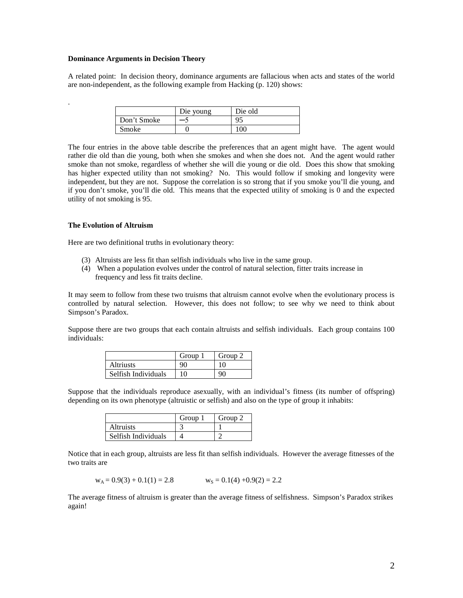#### **Dominance Arguments in Decision Theory**

A related point: In decision theory, dominance arguments are fallacious when acts and states of the world are non-independent, as the following example from Hacking (p. 120) shows:

|             | Die voung | Die old |
|-------------|-----------|---------|
| Don't Smoke |           | 95      |
| Smoke       |           | $100 -$ |

The four entries in the above table describe the preferences that an agent might have. The agent would rather die old than die young, both when she smokes and when she does not. And the agent would rather smoke than not smoke, regardless of whether she will die young or die old. Does this show that smoking has higher expected utility than not smoking? No. This would follow if smoking and longevity were independent, but they are not. Suppose the correlation is so strong that if you smoke you'll die young, and if you don't smoke, you'll die old. This means that the expected utility of smoking is 0 and the expected utility of not smoking is 95.

### **The Evolution of Altruism**

.

Here are two definitional truths in evolutionary theory:

- (3) Altruists are less fit than selfish individuals who live in the same group.
- (4) When a population evolves under the control of natural selection, fitter traits increase in frequency and less fit traits decline.

It may seem to follow from these two truisms that altruism cannot evolve when the evolutionary process is controlled by natural selection. However, this does not follow; to see why we need to think about Simpson's Paradox.

Suppose there are two groups that each contain altruists and selfish individuals. Each group contains 100 individuals:

|                     | Group 1 | Group 2 |
|---------------------|---------|---------|
| <b>Altriusts</b>    | 90      | 10      |
| Selfish Individuals | 10      | 90      |

Suppose that the individuals reproduce asexually, with an individual's fitness (its number of offspring) depending on its own phenotype (altruistic or selfish) and also on the type of group it inhabits:

|                     | Group | Group 2 |
|---------------------|-------|---------|
| <i>Altruists</i>    |       |         |
| Selfish Individuals |       |         |

Notice that in each group, altruists are less fit than selfish individuals. However the average fitnesses of the two traits are

$$
w_A = 0.9(3) + 0.1(1) = 2.8
$$
  $w_S = 0.1(4) + 0.9(2) = 2.2$ 

The average fitness of altruism is greater than the average fitness of selfishness. Simpson's Paradox strikes again!